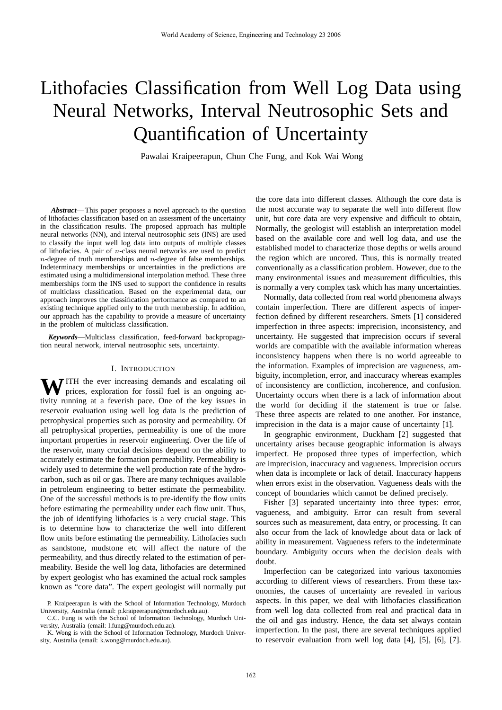# Lithofacies Classification from Well Log Data using Neural Networks, Interval Neutrosophic Sets and Quantification of Uncertainty

Pawalai Kraipeerapun, Chun Che Fung, and Kok Wai Wong

*Abstract*— This paper proposes a novel approach to the question of lithofacies classification based on an assessment of the uncertainty in the classification results. The proposed approach has multiple neural networks (NN), and interval neutrosophic sets (INS) are used to classify the input well log data into outputs of multiple classes of lithofacies. A pair of n-class neural networks are used to predict  $n$ -degree of truth memberships and  $n$ -degree of false memberships. Indeterminacy memberships or uncertainties in the predictions are estimated using a multidimensional interpolation method. These three memberships form the INS used to support the confidence in results of multiclass classification. Based on the experimental data, our approach improves the classification performance as compared to an existing technique applied only to the truth membership. In addition, our approach has the capability to provide a measure of uncertainty in the problem of multiclass classification.

*Keywords*—Multiclass classification, feed-forward backpropagation neural network, interval neutrosophic sets, uncertainty.

## I. INTRODUCTION

**W** ITH the ever increasing demands and escalating oil prices, exploration for fossil fuel is an ongoing activity running at a feverish pace. One of the key issues in reservoir evaluation using well log data is the prediction of petrophysical properties such as porosity and permeability. Of all petrophysical properties, permeability is one of the more important properties in reservoir engineering. Over the life of the reservoir, many crucial decisions depend on the ability to accurately estimate the formation permeability. Permeability is widely used to determine the well production rate of the hydrocarbon, such as oil or gas. There are many techniques available in petroleum engineering to better estimate the permeability. One of the successful methods is to pre-identify the flow units before estimating the permeability under each flow unit. Thus, the job of identifying lithofacies is a very crucial stage. This is to determine how to characterize the well into different flow units before estimating the permeability. Lithofacies such as sandstone, mudstone etc will affect the nature of the permeability, and thus directly related to the estimation of permeability. Beside the well log data, lithofacies are determined by expert geologist who has examined the actual rock samples known as "core data". The expert geologist will normally put

the core data into different classes. Although the core data is the most accurate way to separate the well into different flow unit, but core data are very expensive and difficult to obtain, Normally, the geologist will establish an interpretation model based on the available core and well log data, and use the established model to characterize those depths or wells around the region which are uncored. Thus, this is normally treated conventionally as a classification problem. However, due to the many environmental issues and measurement difficulties, this is normally a very complex task which has many uncertainties.

Normally, data collected from real world phenomena always contain imperfection. There are different aspects of imperfection defined by different researchers. Smets [1] considered imperfection in three aspects: imprecision, inconsistency, and uncertainty. He suggested that imprecision occurs if several worlds are compatible with the available information whereas inconsistency happens when there is no world agreeable to the information. Examples of imprecision are vagueness, ambiguity, incompletion, error, and inaccuracy whereas examples of inconsistency are confliction, incoherence, and confusion. Uncertainty occurs when there is a lack of information about the world for deciding if the statement is true or false. These three aspects are related to one another. For instance, imprecision in the data is a major cause of uncertainty [1].

In geographic environment, Duckham [2] suggested that uncertainty arises because geographic information is always imperfect. He proposed three types of imperfection, which are imprecision, inaccuracy and vagueness. Imprecision occurs when data is incomplete or lack of detail. Inaccuracy happens when errors exist in the observation. Vagueness deals with the concept of boundaries which cannot be defined precisely.

Fisher [3] separated uncertainty into three types: error, vagueness, and ambiguity. Error can result from several sources such as measurement, data entry, or processing. It can also occur from the lack of knowledge about data or lack of ability in measurement. Vagueness refers to the indeterminate boundary. Ambiguity occurs when the decision deals with doubt.

Imperfection can be categorized into various taxonomies according to different views of researchers. From these taxonomies, the causes of uncertainty are revealed in various aspects. In this paper, we deal with lithofacies classification from well log data collected from real and practical data in the oil and gas industry. Hence, the data set always contain imperfection. In the past, there are several techniques applied to reservoir evaluation from well log data [4], [5], [6], [7].

P. Kraipeerapun is with the School of Information Technology, Murdoch University, Australia (email: p.kraipeerapun@murdoch.edu.au).

C.C. Fung is with the School of Information Technology, Murdoch University, Australia (email: l.fung@murdoch.edu.au).

K. Wong is with the School of Information Technology, Murdoch University, Australia (email: k.wong@murdoch.edu.au).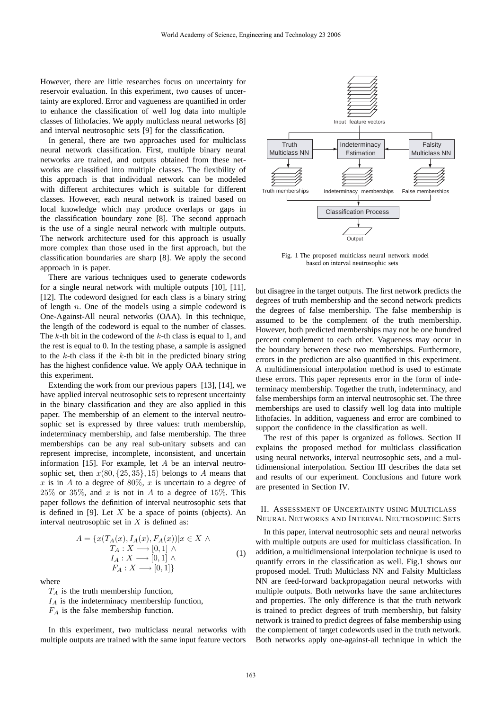However, there are little researches focus on uncertainty for reservoir evaluation. In this experiment, two causes of uncertainty are explored. Error and vagueness are quantified in order to enhance the classification of well log data into multiple classes of lithofacies. We apply multiclass neural networks [8] and interval neutrosophic sets [9] for the classification.

In general, there are two approaches used for multiclass neural network classification. First, multiple binary neural networks are trained, and outputs obtained from these networks are classified into multiple classes. The flexibility of this approach is that individual network can be modeled with different architectures which is suitable for different classes. However, each neural network is trained based on local knowledge which may produce overlaps or gaps in the classification boundary zone [8]. The second approach is the use of a single neural network with multiple outputs. The network architecture used for this approach is usually more complex than those used in the first approach, but the classification boundaries are sharp [8]. We apply the second approach in is paper.

There are various techniques used to generate codewords for a single neural network with multiple outputs [10], [11], [12]. The codeword designed for each class is a binary string of length n. One of the models using a simple codeword is One-Against-All neural networks (OAA). In this technique, the length of the codeword is equal to the number of classes. The  $k$ -th bit in the codeword of the  $k$ -th class is equal to 1, and the rest is equal to 0. In the testing phase, a sample is assigned to the  $k$ -th class if the  $k$ -th bit in the predicted binary string has the highest confidence value. We apply OAA technique in this experiment.

Extending the work from our previous papers [13], [14], we have applied interval neutrosophic sets to represent uncertainty in the binary classification and they are also applied in this paper. The membership of an element to the interval neutrosophic set is expressed by three values: truth membership, indeterminacy membership, and false membership. The three memberships can be any real sub-unitary subsets and can represent imprecise, incomplete, inconsistent, and uncertain information [15]. For example, let  $A$  be an interval neutrosophic set, then  $x(80, {25, 35}, 15)$  belongs to A means that x is in A to a degree of 80%, x is uncertain to a degree of  $25\%$  or  $35\%$ , and x is not in A to a degree of  $15\%$ . This paper follows the definition of interval neutrosophic sets that is defined in [9]. Let  $X$  be a space of points (objects). An interval neutrosophic set in  $X$  is defined as:

$$
A = \{x(T_A(x), I_A(x), F_A(x)) | x \in X \land T_A: X \longrightarrow [0, 1] \land I_A: X \longrightarrow [0, 1] \land F_A: X \longrightarrow [0, 1]\}
$$
\n
$$
(1)
$$

where

 $T_A$  is the truth membership function,

 $I_A$  is the indeterminacy membership function,

 $F_A$  is the false membership function.

In this experiment, two multiclass neural networks with multiple outputs are trained with the same input feature vectors



Fig. 1 The proposed multiclass neural network model based on interval neutrosophic sets

but disagree in the target outputs. The first network predicts the degrees of truth membership and the second network predicts the degrees of false membership. The false membership is assumed to be the complement of the truth membership. However, both predicted memberships may not be one hundred percent complement to each other. Vagueness may occur in the boundary between these two memberships. Furthermore, errors in the prediction are also quantified in this experiment. A multidimensional interpolation method is used to estimate these errors. This paper represents error in the form of indeterminacy membership. Together the truth, indeterminacy, and false memberships form an interval neutrosophic set. The three memberships are used to classify well log data into multiple lithofacies. In addition, vagueness and error are combined to support the confidence in the classification as well.

The rest of this paper is organized as follows. Section II explains the proposed method for multiclass classification using neural networks, interval neutrosophic sets, and a multidimensional interpolation. Section III describes the data set and results of our experiment. Conclusions and future work are presented in Section IV.

# II. ASSESSMENT OF UNCERTAINTY USING MULTICLASS NEURAL NETWORKS AND INTERVAL NEUTROSOPHIC SETS

In this paper, interval neutrosophic sets and neural networks with multiple outputs are used for multiclass classification. In addition, a multidimensional interpolation technique is used to quantify errors in the classification as well. Fig.1 shows our proposed model. Truth Multiclass NN and Falsity Multiclass NN are feed-forward backpropagation neural networks with multiple outputs. Both networks have the same architectures and properties. The only difference is that the truth network is trained to predict degrees of truth membership, but falsity network is trained to predict degrees of false membership using the complement of target codewords used in the truth network. Both networks apply one-against-all technique in which the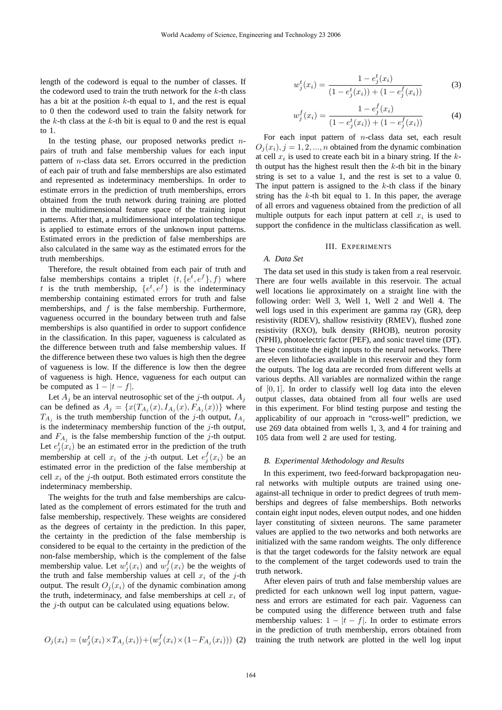length of the codeword is equal to the number of classes. If the codeword used to train the truth network for the  $k$ -th class has a bit at the position  $k$ -th equal to 1, and the rest is equal to 0 then the codeword used to train the falsity network for the k-th class at the k-th bit is equal to 0 and the rest is equal to 1.

In the testing phase, our proposed networks predict  $n$ pairs of truth and false membership values for each input pattern of n-class data set. Errors occurred in the prediction of each pair of truth and false memberships are also estimated and represented as indeterminacy memberships. In order to estimate errors in the prediction of truth memberships, errors obtained from the truth network during training are plotted in the multidimensional feature space of the training input patterns. After that, a multidimensional interpolation technique is applied to estimate errors of the unknown input patterns. Estimated errors in the prediction of false memberships are also calculated in the same way as the estimated errors for the truth memberships.

Therefore, the result obtained from each pair of truth and false memberships contains a triplet  $(t, \{e^t, e^f\}, f)$  where t is the truth membership,  $\{e^t, e^f\}$  is the indeterminacy membership containing estimated errors for truth and false memberships, and  $f$  is the false membership. Furthermore, vagueness occurred in the boundary between truth and false memberships is also quantified in order to support confidence in the classification. In this paper, vagueness is calculated as the difference between truth and false membership values. If the difference between these two values is high then the degree of vagueness is low. If the difference is low then the degree of vagueness is high. Hence, vagueness for each output can be computed as  $1 - |t - f|$ .

Let  $A_i$  be an interval neutrosophic set of the j-th output.  $A_i$ can be defined as  $A_j = \{x(T_{A_i}(x), I_{A_i}(x), F_{A_i}(x))\}$  where  $T_{A_i}$  is the truth membership function of the j-th output,  $I_{A_i}$ is the indeterminacy membership function of the  $j$ -th output, and  $F_{A_i}$  is the false membership function of the j-th output. Let  $e_j^t(x_i)$  be an estimated error in the prediction of the truth membership at cell  $x_i$  of the j-th output. Let  $e_j^f(x_i)$  be an estimated error in the prediction of the false membership at cell  $x_i$  of the *j*-th output. Both estimated errors constitute the indeterminacy membership.

The weights for the truth and false memberships are calculated as the complement of errors estimated for the truth and false membership, respectively. These weights are considered as the degrees of certainty in the prediction. In this paper, the certainty in the prediction of the false membership is considered to be equal to the certainty in the prediction of the non-false membership, which is the complement of the false membership value. Let  $w_j^t(x_i)$  and  $w_j^f(x_i)$  be the weights of the truth and false membership values at cell  $x_i$  of the j-th output. The result  $O_i(x_i)$  of the dynamic combination among the truth, indeterminacy, and false memberships at cell  $x_i$  of the  $i$ -th output can be calculated using equations below.

$$
O_j(x_i) = (w_j^t(x_i) \times T_{A_j}(x_i)) + (w_j^f(x_i) \times (1 - F_{A_j}(x_i))) \tag{2}
$$

$$
w_j^t(x_i) = \frac{1 - e_j^t(x_i)}{(1 - e_j^t(x_i)) + (1 - e_j^f(x_i))}
$$
(3)

$$
w_j^f(x_i) = \frac{1 - e_j^f(x_i)}{(1 - e_j^t(x_i)) + (1 - e_j^f(x_i))}
$$
(4)

For each input pattern of  $n$ -class data set, each result  $O_i(x_i)$ ,  $j = 1, 2, ..., n$  obtained from the dynamic combination at cell  $x_i$  is used to create each bit in a binary string. If the  $k$ th output has the highest result then the  $k$ -th bit in the binary string is set to a value 1, and the rest is set to a value 0. The input pattern is assigned to the  $k$ -th class if the binary string has the  $k$ -th bit equal to 1. In this paper, the average of all errors and vagueness obtained from the prediction of all multiple outputs for each input pattern at cell  $x_i$  is used to support the confidence in the multiclass classification as well.

# III. EXPERIMENTS

#### *A. Data Set*

The data set used in this study is taken from a real reservoir. There are four wells available in this reservoir. The actual well locations lie approximately on a straight line with the following order: Well 3, Well 1, Well 2 and Well 4. The well logs used in this experiment are gamma ray (GR), deep resistivity (RDEV), shallow resistivity (RMEV), flushed zone resistivity (RXO), bulk density (RHOB), neutron porosity (NPHI), photoelectric factor (PEF), and sonic travel time (DT). These constitute the eight inputs to the neural networks. There are eleven lithofacies available in this reservoir and they form the outputs. The log data are recorded from different wells at various depths. All variables are normalized within the range of  $[0, 1]$ . In order to classify well log data into the eleven output classes, data obtained from all four wells are used in this experiment. For blind testing purpose and testing the applicability of our approach in "cross-well" prediction, we use 269 data obtained from wells 1, 3, and 4 for training and 105 data from well 2 are used for testing.

#### *B. Experimental Methodology and Results*

In this experiment, two feed-forward backpropagation neural networks with multiple outputs are trained using oneagainst-all technique in order to predict degrees of truth memberships and degrees of false memberships. Both networks contain eight input nodes, eleven output nodes, and one hidden layer constituting of sixteen neurons. The same parameter values are applied to the two networks and both networks are initialized with the same random weights. The only difference is that the target codewords for the falsity network are equal to the complement of the target codewords used to train the truth network.

After eleven pairs of truth and false membership values are predicted for each unknown well log input pattern, vagueness and errors are estimated for each pair. Vagueness can be computed using the difference between truth and false membership values:  $1 - |t - f|$ . In order to estimate errors in the prediction of truth membership, errors obtained from training the truth network are plotted in the well log input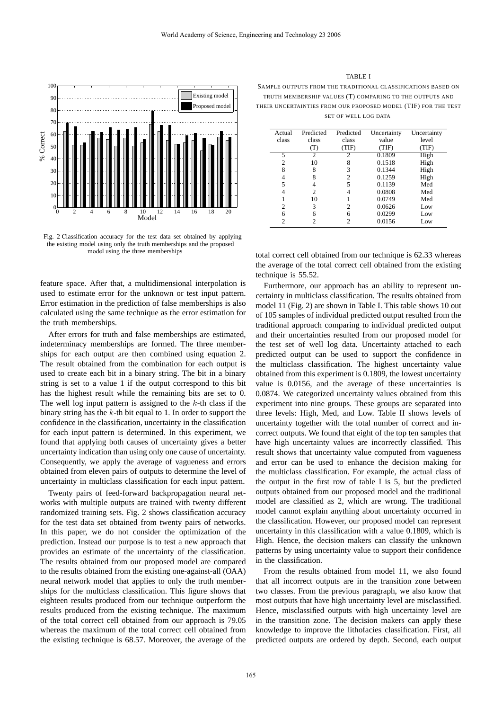

Fig. 2 Classification accuracy for the test data set obtained by applying the existing model using only the truth memberships and the proposed model using the three memberships

feature space. After that, a multidimensional interpolation is used to estimate error for the unknown or test input pattern. Error estimation in the prediction of false memberships is also calculated using the same technique as the error estimation for the truth memberships.

After errors for truth and false memberships are estimated, indeterminacy memberships are formed. The three memberships for each output are then combined using equation 2. The result obtained from the combination for each output is used to create each bit in a binary string. The bit in a binary string is set to a value 1 if the output correspond to this bit has the highest result while the remaining bits are set to 0. The well log input pattern is assigned to the  $k$ -th class if the binary string has the  $k$ -th bit equal to 1. In order to support the confidence in the classification, uncertainty in the classification for each input pattern is determined. In this experiment, we found that applying both causes of uncertainty gives a better uncertainty indication than using only one cause of uncertainty. Consequently, we apply the average of vagueness and errors obtained from eleven pairs of outputs to determine the level of uncertainty in multiclass classification for each input pattern.

Twenty pairs of feed-forward backpropagation neural networks with multiple outputs are trained with twenty different randomized training sets. Fig. 2 shows classification accuracy for the test data set obtained from twenty pairs of networks. In this paper, we do not consider the optimization of the prediction. Instead our purpose is to test a new approach that provides an estimate of the uncertainty of the classification. The results obtained from our proposed model are compared to the results obtained from the existing one-against-all (OAA) neural network model that applies to only the truth memberships for the multiclass classification. This figure shows that eighteen results produced from our technique outperform the results produced from the existing technique. The maximum of the total correct cell obtained from our approach is 79.05 whereas the maximum of the total correct cell obtained from the existing technique is 68.57. Moreover, the average of the

TABLE I SAMPLE OUTPUTS FROM THE TRADITIONAL CLASSIFICATIONS BASED ON TRUTH MEMBERSHIP VALUES (T) COMPARING TO THE OUTPUTS AND THEIR UNCERTAINTIES FROM OUR PROPOSED MODEL (TIF) FOR THE TEST SET OF WELL LOG DATA

| Actual | Predicted | Predicted     | Uncertainty | Uncertainty |
|--------|-----------|---------------|-------------|-------------|
| class  | class     | class         | value       | level       |
|        |           | (TIF)         | TIF)        | TIF)        |
| 5      | っ         | $\mathcal{P}$ | 0.1809      | High        |
| 2      | 10        | 8             | 0.1518      | High        |
| 8      | 8         | 3             | 0.1344      | High        |
| 4      | 8         | 2             | 0.1259      | High        |
| 5      |           | 5             | 0.1139      | Med         |
|        | 2         |               | 0.0808      | Med         |
|        | 10        |               | 0.0749      | Med         |
| 2      | 3         | 2             | 0.0626      | Low         |
| 6      | 6         | 6             | 0.0299      | Low         |
| 2      |           | 2             | 0.0156      | Low         |

total correct cell obtained from our technique is 62.33 whereas the average of the total correct cell obtained from the existing technique is 55.52.

Furthermore, our approach has an ability to represent uncertainty in multiclass classification. The results obtained from model 11 (Fig. 2) are shown in Table I. This table shows 10 out of 105 samples of individual predicted output resulted from the traditional approach comparing to individual predicted output and their uncertainties resulted from our proposed model for the test set of well log data. Uncertainty attached to each predicted output can be used to support the confidence in the multiclass classification. The highest uncertainty value obtained from this experiment is 0.1809, the lowest uncertainty value is 0.0156, and the average of these uncertainties is 0.0874. We categorized uncertainty values obtained from this experiment into nine groups. These groups are separated into three levels: High, Med, and Low. Table II shows levels of uncertainty together with the total number of correct and incorrect outputs. We found that eight of the top ten samples that have high uncertainty values are incorrectly classified. This result shows that uncertainty value computed from vagueness and error can be used to enhance the decision making for the multiclass classification. For example, the actual class of the output in the first row of table I is 5, but the predicted outputs obtained from our proposed model and the traditional model are classified as 2, which are wrong. The traditional model cannot explain anything about uncertainty occurred in the classification. However, our proposed model can represent uncertainty in this classification with a value 0.1809, which is High. Hence, the decision makers can classify the unknown patterns by using uncertainty value to support their confidence in the classification.

From the results obtained from model 11, we also found that all incorrect outputs are in the transition zone between two classes. From the previous paragraph, we also know that most outputs that have high uncertainty level are misclassified. Hence, misclassified outputs with high uncertainty level are in the transition zone. The decision makers can apply these knowledge to improve the lithofacies classification. First, all predicted outputs are ordered by depth. Second, each output